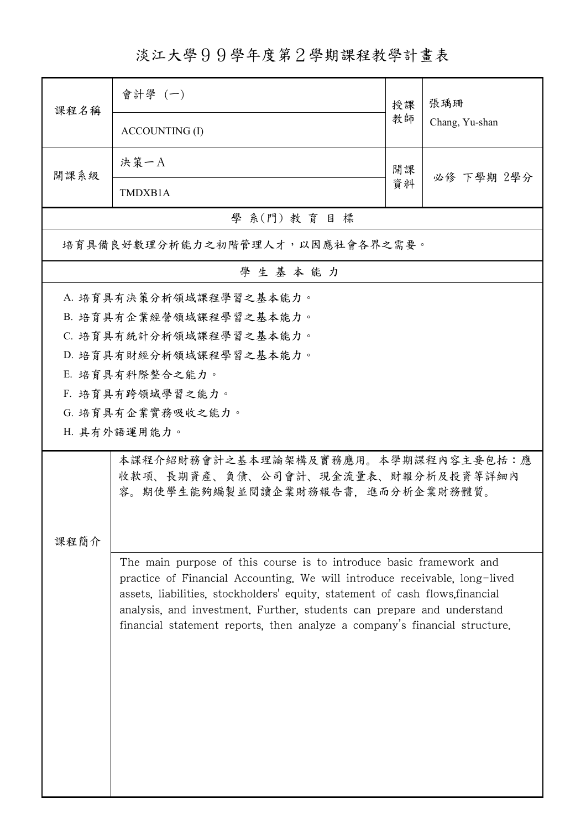淡江大學99學年度第2學期課程教學計畫表

| 課程名稱                    | 會計學(一)                                                                                                                                                                                                                                                                                                                                                                                     | 授課 | 張瑀珊<br>Chang, Yu-shan |  |  |  |
|-------------------------|--------------------------------------------------------------------------------------------------------------------------------------------------------------------------------------------------------------------------------------------------------------------------------------------------------------------------------------------------------------------------------------------|----|-----------------------|--|--|--|
|                         | <b>ACCOUNTING (I)</b>                                                                                                                                                                                                                                                                                                                                                                      | 教師 |                       |  |  |  |
| 開課系級                    | 決策一A                                                                                                                                                                                                                                                                                                                                                                                       | 開課 | 必修 下學期 2學分            |  |  |  |
|                         | TMDXB1A                                                                                                                                                                                                                                                                                                                                                                                    | 資料 |                       |  |  |  |
| 學 系(門) 教育目標             |                                                                                                                                                                                                                                                                                                                                                                                            |    |                       |  |  |  |
|                         | 培育具備良好數理分析能力之初階管理人才,以因應社會各界之需要。                                                                                                                                                                                                                                                                                                                                                            |    |                       |  |  |  |
| 學生基本能力                  |                                                                                                                                                                                                                                                                                                                                                                                            |    |                       |  |  |  |
| A. 培育具有決策分析領域課程學習之基本能力。 |                                                                                                                                                                                                                                                                                                                                                                                            |    |                       |  |  |  |
|                         | B. 培育具有企業經營領域課程學習之基本能力。                                                                                                                                                                                                                                                                                                                                                                    |    |                       |  |  |  |
|                         | C. 培育具有統計分析領域課程學習之基本能力。                                                                                                                                                                                                                                                                                                                                                                    |    |                       |  |  |  |
|                         | D. 培育具有財經分析領域課程學習之基本能力。                                                                                                                                                                                                                                                                                                                                                                    |    |                       |  |  |  |
|                         | E. 培育具有科際整合之能力。                                                                                                                                                                                                                                                                                                                                                                            |    |                       |  |  |  |
|                         | F. 培育具有跨領域學習之能力。                                                                                                                                                                                                                                                                                                                                                                           |    |                       |  |  |  |
|                         | G. 培育具有企業實務吸收之能力。                                                                                                                                                                                                                                                                                                                                                                          |    |                       |  |  |  |
|                         | H. 具有外語運用能力。                                                                                                                                                                                                                                                                                                                                                                               |    |                       |  |  |  |
| 課程簡介                    | 本課程介紹財務會計之基本理論架構及實務應用。本學期課程內容主要包括:應<br>收款項、長期資產、負債、公司會計、現金流量表、財報分析及投資等詳細內<br>容。期使學生能夠編製並閱讀企業財務報告書,進而分析企業財務體質。                                                                                                                                                                                                                                                                              |    |                       |  |  |  |
|                         | The main purpose of this course is to introduce basic framework and<br>practice of Financial Accounting. We will introduce receivable, long-lived<br>assets, liabilities, stockholders' equity, statement of cash flows, financial<br>analysis, and investment. Further, students can prepare and understand<br>financial statement reports, then analyze a company's financial structure. |    |                       |  |  |  |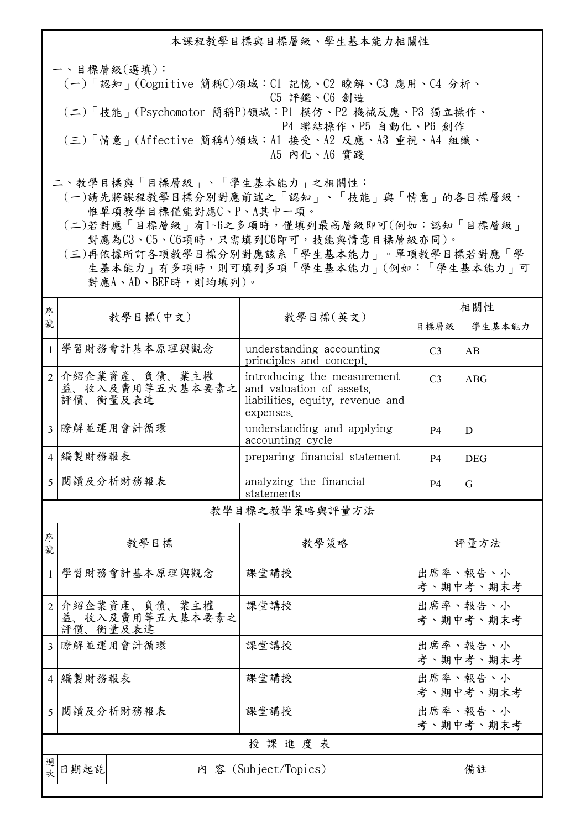本課程教學目標與目標層級、學生基本能力相關性

一、目標層級(選填): (一)「認知」(Cognitive 簡稱C)領域:C1 記憶、C2 瞭解、C3 應用、C4 分析、 C5 評鑑、C6 創造 (二)「技能」(Psychomotor 簡稱P)領域:P1 模仿、P2 機械反應、P3 獨立操作、 P4 聯結操作、P5 自動化、P6 創作 (三)「情意」(Affective 簡稱A)領域:A1 接受、A2 反應、A3 重視、A4 組織、 A5 內化、A6 實踐

二、教學目標與「目標層級」、「學生基本能力」之相關性:

 (一)請先將課程教學目標分別對應前述之「認知」、「技能」與「情意」的各目標層級, 惟單項教學目標僅能對應C、P、A其中一項。

 (二)若對應「目標層級」有1~6之多項時,僅填列最高層級即可(例如:認知「目標層級」 對應為C3、C5、C6項時,只需填列C6即可,技能與情意目標層級亦同)。

 (三)再依據所訂各項教學目標分別對應該系「學生基本能力」。單項教學目標若對應「學 生基本能力」有多項時,則可填列多項「學生基本能力」(例如:「學生基本能力」可 對應A、AD、BEF時,則均填列)。

| 序                        |                                              |                                                                                                          | 相關性                   |                       |  |  |
|--------------------------|----------------------------------------------|----------------------------------------------------------------------------------------------------------|-----------------------|-----------------------|--|--|
| 號                        | 教學目標(中文)                                     | 教學目標(英文)                                                                                                 | 目標層級                  | 學生基本能力                |  |  |
| $\mathbf{1}$             | 學習財務會計基本原理與觀念                                | understanding accounting<br>principles and concept.                                                      | C <sub>3</sub>        | AB                    |  |  |
| $\overline{2}$           | 介紹企業資產、負債、業主權<br>益、收入及費用等五大基本要素之<br>評價、衡量及表達 | introducing the measurement<br>and valuation of assets.<br>liabilities, equity, revenue and<br>expenses. | C <sub>3</sub>        | <b>ABG</b>            |  |  |
| $\mathcal{E}$            | 瞭解並運用會計循環                                    | understanding and applying<br>accounting cycle                                                           | <b>P4</b>             | D                     |  |  |
| 4                        | 編製財務報表                                       | preparing financial statement                                                                            | <b>P4</b>             | <b>DEG</b>            |  |  |
| 5                        | 閲讀及分析財務報表                                    | analyzing the financial<br>statements                                                                    | <b>P4</b>             | G                     |  |  |
|                          | 教學目標之教學策略與評量方法                               |                                                                                                          |                       |                       |  |  |
| 序<br>號                   | 教學目標                                         | 教學策略                                                                                                     | 評量方法                  |                       |  |  |
| $\mathbf{1}$             | 學習財務會計基本原理與觀念                                | 課堂講授                                                                                                     | 出席率、報告、小<br>考、期中考、期末考 |                       |  |  |
| $\overline{2}$           | 介紹企業資產、負債、業主權<br>益、收入及費用等五大基本要素之<br>評價、衡量及表達 | 課堂講授                                                                                                     |                       | 出席率、報告、小<br>考、期中考、期末考 |  |  |
| $\mathcal{E}$            | 瞭解並運用會計循環                                    | 課堂講授                                                                                                     |                       | 出席率、報告、小<br>考、期中考、期末考 |  |  |
|                          | 4   編製財務報表                                   | 課堂講授                                                                                                     |                       | 出席率、報告、小<br>考、期中考、期末考 |  |  |
| $\overline{\mathcal{L}}$ | 閲讀及分析財務報表                                    | 課堂講授                                                                                                     |                       | 出席率、報告、小<br>考、期中考、期末考 |  |  |
|                          | 授課進度表                                        |                                                                                                          |                       |                       |  |  |
| 週<br>欤                   | 日期起訖                                         | 內 容 (Subject/Topics)                                                                                     |                       | 備註                    |  |  |
|                          |                                              |                                                                                                          |                       |                       |  |  |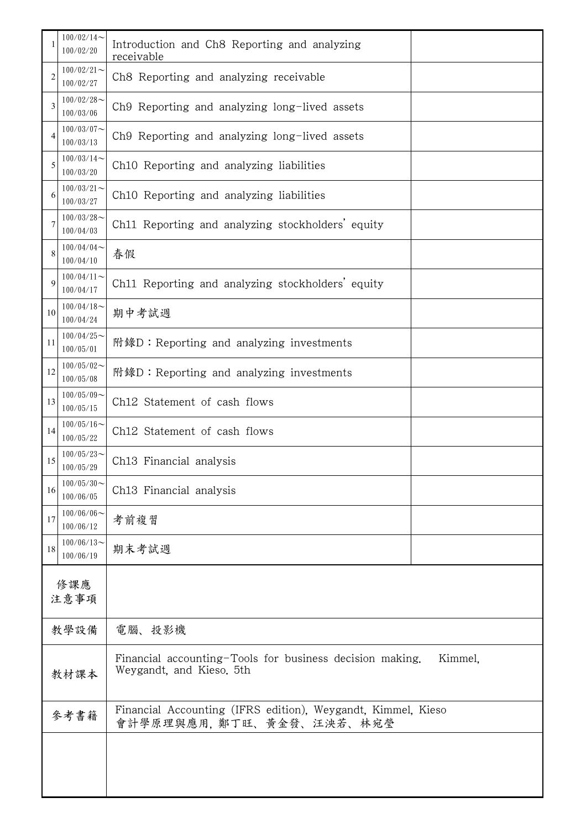|             | $100/02/14$ ~<br>100/02/20 | Introduction and Ch8 Reporting and analyzing<br>receivable                                      |  |  |  |
|-------------|----------------------------|-------------------------------------------------------------------------------------------------|--|--|--|
| 2           | $100/02/21$ ~<br>100/02/27 | Ch8 Reporting and analyzing receivable                                                          |  |  |  |
| 3           | $100/02/28$ ~<br>100/03/06 | Ch9 Reporting and analyzing long-lived assets                                                   |  |  |  |
| 4           | $100/03/07$ ~<br>100/03/13 | Ch9 Reporting and analyzing long-lived assets                                                   |  |  |  |
| 5           | $100/03/14$ ~<br>100/03/20 | Ch10 Reporting and analyzing liabilities                                                        |  |  |  |
| 6           | $100/03/21$ ~<br>100/03/27 | Ch10 Reporting and analyzing liabilities                                                        |  |  |  |
| 7           | $100/03/28$ ~<br>100/04/03 | Ch11 Reporting and analyzing stockholders' equity                                               |  |  |  |
| 8           | $100/04/04$ ~<br>100/04/10 | 春假                                                                                              |  |  |  |
| 9           | $100/04/11$ ~<br>100/04/17 | Ch11 Reporting and analyzing stockholders' equity                                               |  |  |  |
| 10          | $100/04/18$ ~<br>100/04/24 | 期中考試週                                                                                           |  |  |  |
| 11          | $100/04/25$ ~<br>100/05/01 | 附錄D:Reporting and analyzing investments                                                         |  |  |  |
| 12          | $100/05/02$ ~<br>100/05/08 | 附錄D: Reporting and analyzing investments                                                        |  |  |  |
| 13          | $100/05/09$ ~<br>100/05/15 | Ch12 Statement of cash flows                                                                    |  |  |  |
| 14          | $100/05/16$ ~<br>100/05/22 | Ch12 Statement of cash flows                                                                    |  |  |  |
| 15          | $100/05/23$ ~<br>100/05/29 | Ch13 Financial analysis                                                                         |  |  |  |
| 16          | $100/05/30$ ~<br>100/06/05 | Ch13 Financial analysis                                                                         |  |  |  |
| 17          | $100/06/06$ ~<br>100/06/12 | 考前複習                                                                                            |  |  |  |
| 18          | $100/06/13$ ~<br>100/06/19 | 期末考試週                                                                                           |  |  |  |
| 修課應<br>注意事項 |                            |                                                                                                 |  |  |  |
|             | 教學設備                       | 電腦、投影機                                                                                          |  |  |  |
| 教材課本        |                            | Financial accounting-Tools for business decision making.<br>Kimmel,<br>Weygandt, and Kieso. 5th |  |  |  |
| 參考書籍        |                            | Financial Accounting (IFRS edition), Weygandt, Kimmel, Kieso<br>會計學原理與應用, 鄭丁旺、黃金發、汪泱若、林宛瑩       |  |  |  |
|             |                            |                                                                                                 |  |  |  |